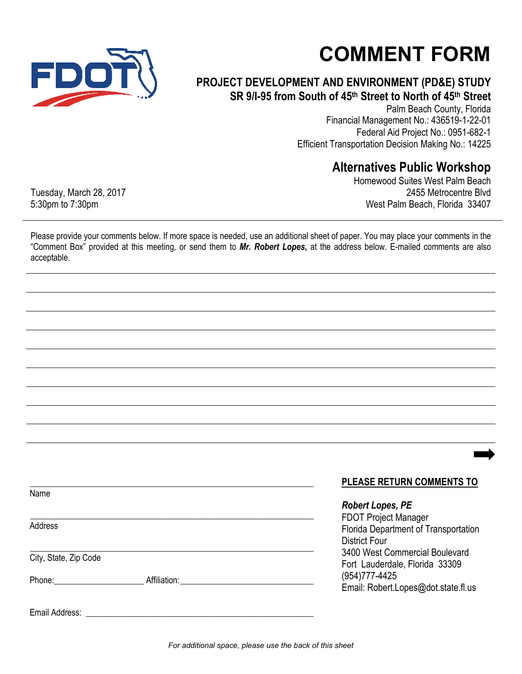

## **COMMENT FORM**

## **PROJECT DEVELOPMENT AND ENVIRONMENT (PD&E) STUDY SR 9/I-95 from South of 45th Street to North of 45th Street**

Palm Beach County, Florida Financial Management No.: 436519-1-22-01 Federal Aid Project No.: 0951-682-1 Efficient Transportation Decision Making No.: 14225

## **Alternatives Public Workshop**

Homewood Suites West Palm Beach 2455 Metrocentre Blvd West Palm Beach, Florida 33407

Tuesday, March 28, 2017 5:30pm to 7:30pm

Please provide your comments below. If more space is needed, use an additional sheet of paper. You may place your comments in the "Comment Box" provided at this meeting, or send them to *Mr. Robert Lopes***,** at the address below. E-mailed comments are also acceptable.

|                       |  | <b>PLEASE RETURN COMMENTS TO</b>                                 |
|-----------------------|--|------------------------------------------------------------------|
| Name                  |  |                                                                  |
|                       |  | <b>Robert Lopes, PE</b>                                          |
|                       |  | <b>FDOT Project Manager</b>                                      |
| Address               |  | Florida Department of Transportation                             |
|                       |  | District Four                                                    |
| City, State, Zip Code |  | 3400 West Commercial Boulevard<br>Fort Lauderdale, Florida 33309 |
|                       |  |                                                                  |
|                       |  | Email: Robert.Lopes@dot.state.fl.us                              |
| Email Address:        |  |                                                                  |